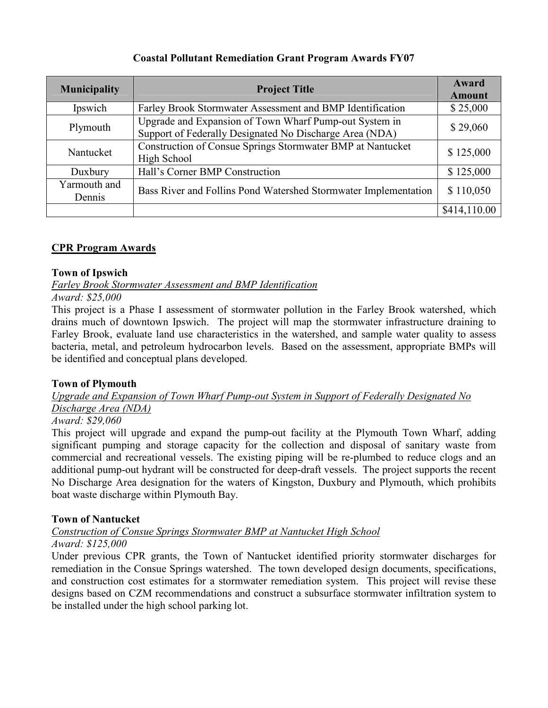# Coastal Pollutant Remediation Grant Program Awards FY07

| <b>Municipality</b>    | <b>Project Title</b>                                                                                              | Award<br><b>Amount</b> |
|------------------------|-------------------------------------------------------------------------------------------------------------------|------------------------|
| Ipswich                | Farley Brook Stormwater Assessment and BMP Identification                                                         | \$25,000               |
| Plymouth               | Upgrade and Expansion of Town Wharf Pump-out System in<br>Support of Federally Designated No Discharge Area (NDA) | \$29,060               |
| Nantucket              | Construction of Consue Springs Stormwater BMP at Nantucket<br>High School                                         | \$125,000              |
| Duxbury                | Hall's Corner BMP Construction                                                                                    | \$125,000              |
| Yarmouth and<br>Dennis | Bass River and Follins Pond Watershed Stormwater Implementation                                                   | \$110,050              |
|                        |                                                                                                                   | \$414,110.00           |

# CPR Program Awards

## Town of Ipswich

Farley Brook Stormwater Assessment and BMP Identification

# Award: \$25,000

This project is a Phase I assessment of stormwater pollution in the Farley Brook watershed, which drains much of downtown Ipswich. The project will map the stormwater infrastructure draining to Farley Brook, evaluate land use characteristics in the watershed, and sample water quality to assess bacteria, metal, and petroleum hydrocarbon levels. Based on the assessment, appropriate BMPs will be identified and conceptual plans developed.

## Town of Plymouth

Upgrade and Expansion of Town Wharf Pump-out System in Support of Federally Designated No Discharge Area (NDA)

# Award: \$29,060

This project will upgrade and expand the pump-out facility at the Plymouth Town Wharf, adding significant pumping and storage capacity for the collection and disposal of sanitary waste from commercial and recreational vessels. The existing piping will be re-plumbed to reduce clogs and an additional pump-out hydrant will be constructed for deep-draft vessels. The project supports the recent No Discharge Area designation for the waters of Kingston, Duxbury and Plymouth, which prohibits boat waste discharge within Plymouth Bay.

## Town of Nantucket

Construction of Consue Springs Stormwater BMP at Nantucket High School Award: \$125,000

Under previous CPR grants, the Town of Nantucket identified priority stormwater discharges for remediation in the Consue Springs watershed. The town developed design documents, specifications, and construction cost estimates for a stormwater remediation system. This project will revise these designs based on CZM recommendations and construct a subsurface stormwater infiltration system to be installed under the high school parking lot.